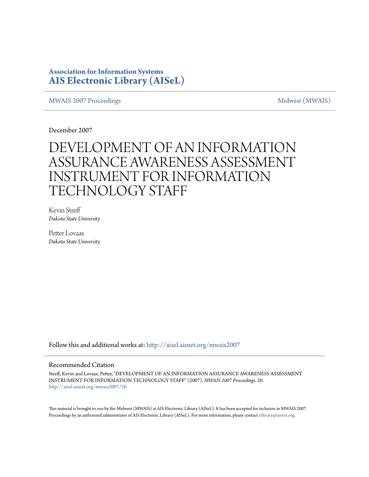### **Association for Information Systems [AIS Electronic Library \(AISeL\)](http://aisel.aisnet.org?utm_source=aisel.aisnet.org%2Fmwais2007%2F20&utm_medium=PDF&utm_campaign=PDFCoverPages)**

[MWAIS 2007 Proceedings](http://aisel.aisnet.org/mwais2007?utm_source=aisel.aisnet.org%2Fmwais2007%2F20&utm_medium=PDF&utm_campaign=PDFCoverPages) and the matrix of the [Midwest \(MWAIS\)](http://aisel.aisnet.org/mwais?utm_source=aisel.aisnet.org%2Fmwais2007%2F20&utm_medium=PDF&utm_campaign=PDFCoverPages)

December 2007

# DEVELOPMENT OF AN INFORMATION ASSURANCE AWARENESS ASSESSMENT INSTRUMENT FOR INFORMATION TECHNOLOGY STAFF

Kevin Streff *Dakota State University*

Petter Lovaas *Dakota State University*

Follow this and additional works at: [http://aisel.aisnet.org/mwais2007](http://aisel.aisnet.org/mwais2007?utm_source=aisel.aisnet.org%2Fmwais2007%2F20&utm_medium=PDF&utm_campaign=PDFCoverPages)

#### Recommended Citation

Streff, Kevin and Lovaas, Petter, "DEVELOPMENT OF AN INFORMATION ASSURANCE AWARENESS ASSESSMENT INSTRUMENT FOR INFORMATION TECHNOLOGY STAFF" (2007). *MWAIS 2007 Proceedings*. 20. [http://aisel.aisnet.org/mwais2007/20](http://aisel.aisnet.org/mwais2007/20?utm_source=aisel.aisnet.org%2Fmwais2007%2F20&utm_medium=PDF&utm_campaign=PDFCoverPages)

This material is brought to you by the Midwest (MWAIS) at AIS Electronic Library (AISeL). It has been accepted for inclusion in MWAIS 2007 Proceedings by an authorized administrator of AIS Electronic Library (AISeL). For more information, please contact [elibrary@aisnet.org](mailto:elibrary@aisnet.org%3E).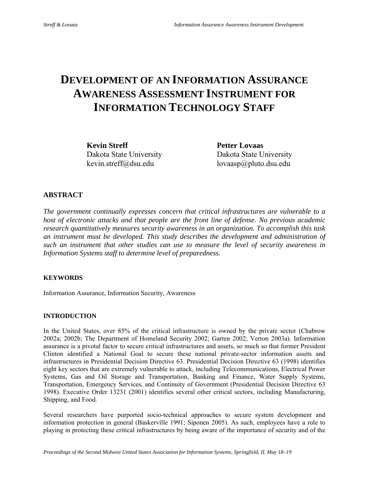## **DEVELOPMENT OF AN INFORMATION ASSURANCE AWARENESS ASSESSMENT INSTRUMENT FOR INFORMATION TECHNOLOGY STAFF**

**Kevin Streff** Petter Lovaas

Dakota State University Dakota State University kevin.streff@dsu.edu lovaasp@pluto.dsu.edu

#### **ABSTRACT**

*The government continually expresses concern that critical infrastructures are vulnerable to a host of electronic attacks and that people are the front line of defense. No previous academic research quantitatively measures security awareness in an organization. To accomplish this task an instrument must be developed. This study describes the development and administration of such an instrument that other studies can use to measure the level of security awareness in Information Systems staff to determine level of preparedness.* 

#### **KEYWORDS**

Information Assurance, Information Security, Awareness

#### **INTRODUCTION**

In the United States, over 85% of the critical infrastructure is owned by the private sector (Chabrow 2002a; 2002b; The Department of Homeland Security 2002; Garten 2002; Verton 2003a). Information assurance is a pivotal factor to secure critical infrastructures and assets, so much so that former President Clinton identified a National Goal to secure these national private-sector information assets and infrastructures in Presidential Decision Directive 63. Presidential Decision Directive 63 (1998) identifies eight key sectors that are extremely vulnerable to attack, including Telecommunications, Electrical Power Systems, Gas and Oil Storage and Transportation, Banking and Finance, Water Supply Systems, Transportation, Emergency Services, and Continuity of Government (Presidential Decision Directive 63 1998). Executive Order 13231 (2001) identifies several other critical sectors, including Manufacturing, Shipping, and Food.

Several researchers have purported socio-technical approaches to secure system development and information protection in general (Baskerville 1991; Siponen 2005). As such, employees have a role to playing in protecting these critical infrastructures by being aware of the importance of security and of the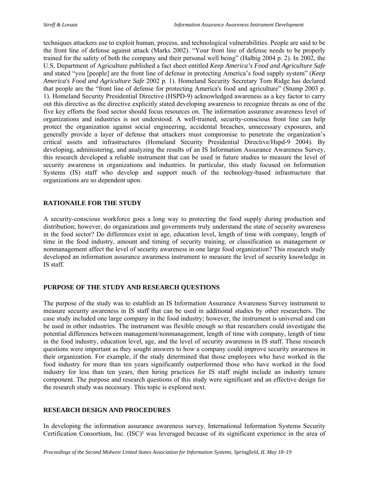techniques attackers use to exploit human, process, and technological vulnerabilities. People are said to be the front line of defense against attack (Marks 2002). "Your front line of defense needs to be properly trained for the safety of both the company and their personal well being" (Halbig 2004 p. 2). In 2002, the U.S. Department of Agriculture published a fact sheet entitled *Keep America's Food and Agriculture Safe* and stated "you [people] are the front line of defense in protecting America's food supply system" (*Keep America's Food and Agriculture Safe* 2002 p. 1). Homeland Security Secretary Tom Ridge has declared that people are the "front line of defense for protecting America's food and agriculture" (Stump 2003 p. 1). Homeland Security Presidential Directive (HSPD-9) acknowledged awareness as a key factor to carry out this directive as the directive explicitly stated developing awareness to recognize threats as one of the five key efforts the food sector should focus resources on. The information assurance awareness level of organizations and industries is not understood. A well-trained, security-conscious front line can help protect the organization against social engineering, accidental breaches, unnecessary exposures, and generally provide a layer of defense that attackers must compromise to penetrate the organization's critical assets and infrastructures (Homeland Security Presidential Directive/Hspd-9 2004). By developing, administering, and analyzing the results of an IS Information Assurance Awareness Survey, this research developed a reliable instrument that can be used in future studies to measure the level of security awareness in organizations and industries. In particular, this study focused on Information Systems (IS) staff who develop and support much of the technology-based infrastructure that organizations are so dependent upon.

#### **RATIONAILE FOR THE STUDY**

A security-conscious workforce goes a long way to protecting the food supply during production and distribution; however, do organizations and governments truly understand the state of security awareness in the food sector? Do differences exist in age, education level, length of time with company, length of time in the food industry, amount and timing of security training, or classification as management or nonmanagement affect the level of security awareness in one large food organization? This research study developed an information assurance awareness instrument to measure the level of security knowledge in IS staff.

#### **PURPOSE OF THE STUDY AND RESEARCH QUESTIONS**

The purpose of the study was to establish an IS Information Assurance Awareness Survey instrument to measure security awareness in IS staff that can be used in additional studies by other researchers. The case study included one large company in the food industry; however, the instrument is universal and can be used in other industries. The instrument was flexible enough so that researchers could investigate the potential differences between management/nonmanagement, length of time with company, length of time in the food industry, education level, age, and the level of security awareness in IS staff. These research questions were important as they sought answers to how a company could improve security awareness in their organization. For example, if the study determined that those employees who have worked in the food industry for more than ten years significantly outperformed those who have worked in the food industry for less than ten years, then hiring practices for IS staff might include an industry tenure component. The purpose and research questions of this study were significant and an effective design for the research study was necessary. This topic is explored next.

#### **RESEARCH DESIGN AND PROCEDURES**

In developing the information assurance awareness survey, International Information Systems Security Certification Consortium, Inc. (ISC)² was leveraged because of its significant experience in the area of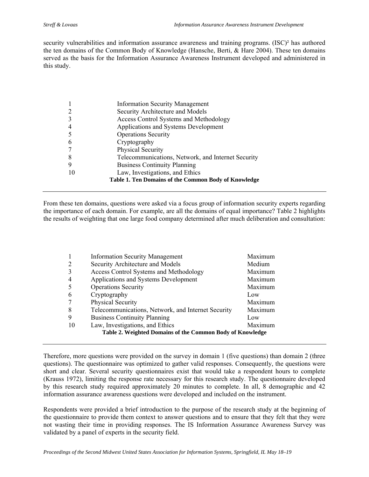security vulnerabilities and information assurance awareness and training programs. (ISC)² has authored the ten domains of the Common Body of Knowledge (Hansche, Berti, & Hare 2004). These ten domains served as the basis for the Information Assurance Awareness Instrument developed and administered in this study.

|                                                      | <b>Information Security Management</b>             |  |
|------------------------------------------------------|----------------------------------------------------|--|
|                                                      | Security Architecture and Models                   |  |
|                                                      | <b>Access Control Systems and Methodology</b>      |  |
| 4                                                    | Applications and Systems Development               |  |
|                                                      | <b>Operations Security</b>                         |  |
| 6                                                    | Cryptography                                       |  |
|                                                      | Physical Security                                  |  |
| 8                                                    | Telecommunications, Network, and Internet Security |  |
| 9                                                    | <b>Business Continuity Planning</b>                |  |
| 10                                                   | Law, Investigations, and Ethics                    |  |
| Table 1. Ten Domains of the Common Body of Knowledge |                                                    |  |

From these ten domains, questions were asked via a focus group of information security experts regarding the importance of each domain. For example, are all the domains of equal importance? Table 2 highlights the results of weighting that one large food company determined after much deliberation and consultation:

|                                                           | <b>Information Security Management</b>             | Maximum |  |
|-----------------------------------------------------------|----------------------------------------------------|---------|--|
|                                                           | Security Architecture and Models                   | Medium  |  |
|                                                           | Access Control Systems and Methodology             | Maximum |  |
|                                                           | Applications and Systems Development               | Maximum |  |
|                                                           | <b>Operations Security</b>                         | Maximum |  |
| 6                                                         | Cryptography                                       | Low     |  |
|                                                           | Physical Security                                  | Maximum |  |
| 8                                                         | Telecommunications, Network, and Internet Security | Maximum |  |
| 9                                                         | <b>Business Continuity Planning</b>                | Low     |  |
| 10                                                        | Law, Investigations, and Ethics                    | Maximum |  |
| Table 2. Weighted Domains of the Common Body of Knowledge |                                                    |         |  |

Therefore, more questions were provided on the survey in domain 1 (five questions) than domain 2 (three questions). The questionnaire was optimized to gather valid responses. Consequently, the questions were short and clear. Several security questionnaires exist that would take a respondent hours to complete (Krauss 1972), limiting the response rate necessary for this research study. The questionnaire developed by this research study required approximately 20 minutes to complete. In all, 8 demographic and 42 information assurance awareness questions were developed and included on the instrument.

Respondents were provided a brief introduction to the purpose of the research study at the beginning of the questionnaire to provide them context to answer questions and to ensure that they felt that they were not wasting their time in providing responses. The IS Information Assurance Awareness Survey was validated by a panel of experts in the security field.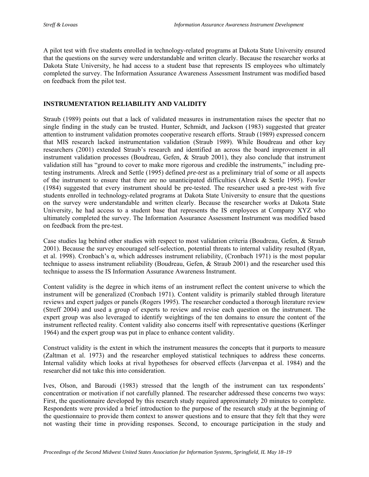A pilot test with five students enrolled in technology-related programs at Dakota State University ensured that the questions on the survey were understandable and written clearly. Because the researcher works at Dakota State University, he had access to a student base that represents IS employees who ultimately completed the survey. The Information Assurance Awareness Assessment Instrument was modified based on feedback from the pilot test.

#### **INSTRUMENTATION RELIABILITY AND VALIDITY**

Straub (1989) points out that a lack of validated measures in instrumentation raises the specter that no single finding in the study can be trusted. Hunter, Schmidt, and Jackson (1983) suggested that greater attention to instrument validation promotes cooperative research efforts. Straub (1989) expressed concern that MIS research lacked instrumentation validation (Straub 1989). While Boudreau and other key researchers (2001) extended Straub's research and identified an across the board improvement in all instrument validation processes (Boudreau, Gefen, & Straub 2001), they also conclude that instrument validation still has "ground to cover to make more rigorous and credible the instruments," including pretesting instruments. Alreck and Settle (1995) defined *pre-test* as a preliminary trial of some or all aspects of the instrument to ensure that there are no unanticipated difficulties (Alreck & Settle 1995). Fowler (1984) suggested that every instrument should be pre-tested. The researcher used a pre-test with five students enrolled in technology-related programs at Dakota State University to ensure that the questions on the survey were understandable and written clearly. Because the researcher works at Dakota State University, he had access to a student base that represents the IS employees at Company XYZ who ultimately completed the survey. The Information Assurance Assessment Instrument was modified based on feedback from the pre-test.

Case studies lag behind other studies with respect to most validation criteria (Boudreau, Gefen, & Straub 2001). Because the survey encouraged self-selection, potential threats to internal validity resulted (Ryan, et al. 1998). Cronbach's α, which addresses instrument reliability, (Cronbach 1971) is the most popular technique to assess instrument reliability (Boudreau, Gefen, & Straub 2001) and the researcher used this technique to assess the IS Information Assurance Awareness Instrument.

Content validity is the degree in which items of an instrument reflect the content universe to which the instrument will be generalized (Cronbach 1971). Content validity is primarily stabled through literature reviews and expert judges or panels (Rogers 1995). The researcher conducted a thorough literature review (Streff 2004) and used a group of experts to review and revise each question on the instrument. The expert group was also leveraged to identify weightings of the ten domains to ensure the content of the instrument reflected reality. Content validity also concerns itself with representative questions (Kerlinger 1964) and the expert group was put in place to enhance content validity.

Construct validity is the extent in which the instrument measures the concepts that it purports to measure (Zaltman et al. 1973) and the researcher employed statistical techniques to address these concerns. Internal validity which looks at rival hypotheses for observed effects (Jarvenpaa et al. 1984) and the researcher did not take this into consideration.

Ives, Olson, and Baroudi (1983) stressed that the length of the instrument can tax respondents' concentration or motivation if not carefully planned. The researcher addressed these concerns two ways: First, the questionnaire developed by this research study required approximately 20 minutes to complete. Respondents were provided a brief introduction to the purpose of the research study at the beginning of the questionnaire to provide them context to answer questions and to ensure that they felt that they were not wasting their time in providing responses. Second, to encourage participation in the study and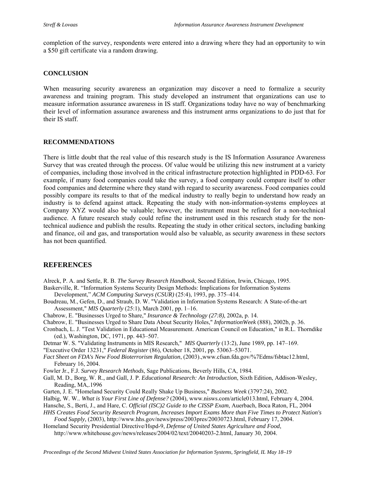completion of the survey, respondents were entered into a drawing where they had an opportunity to win a \$50 gift certificate via a random drawing.

#### **CONCLUSION**

When measuring security awareness an organization may discover a need to formalize a security awareness and training program. This study developed an instrument that organizations can use to measure information assurance awareness in IS staff. Organizations today have no way of benchmarking their level of information assurance awareness and this instrument arms organizations to do just that for their IS staff.

#### **RECOMMENDATIONS**

There is little doubt that the real value of this research study is the IS Information Assurance Awareness Survey that was created through the process. Of value would be utilizing this new instrument at a variety of companies, including those involved in the critical infrastructure protection highlighted in PDD-63. For example, if many food companies could take the survey, a food company could compare itself to other food companies and determine where they stand with regard to security awareness. Food companies could possibly compare its results to that of the medical industry to really begin to understand how ready an industry is to defend against attack. Repeating the study with non-information-systems employees at Company XYZ would also be valuable; however, the instrument must be refined for a non-technical audience. A future research study could refine the instrument used in this research study for the nontechnical audience and publish the results. Repeating the study in other critical sectors, including banking and finance, oil and gas, and transportation would also be valuable, as security awareness in these sectors has not been quantified.

#### **REFERENCES**

Alreck, P. A. and Settle, R. B. *The Survey Research Handbook*, Second Edition, Irwin, Chicago, 1995.

- Baskerville, R. "Information Systems Security Design Methods: Implications for Information Systems Development," *ACM Computing Surveys (CSUR)* (25:4), 1993, pp. 375–414.
- Boudreau, M., Gefen, D., and Straub, D. W. "Validation in Information Systems Research: A State-of-the-art Assessment," *MIS Quarterly* (25:1), March 2001, pp. 1–16.
- Chabrow, E. "Businesses Urged to Share," *Insurance & Technology (27:8),* 2002a, p. 14.
- Chabrow, E. "Businesses Urged to Share Data About Security Holes," *InformationWeek* (888), 2002b, p. 36.
- Cronbach, L. J. "Test Validation in Educational Measurement. American Council on Education," in R.L. Thorndike (ed.), Washington, DC, 1971, pp. 443–507.
- Detmar W. S. "Validating Instruments in MIS Research," *MIS Quarterly* (13:2), June 1989, pp. 147–169.

"Executive Order 13231," *Federal Register* (86), October 18, 2001, pp. 53063–53071.

- *Fact Sheet on FDA's New Food Bioterrorism Regulation*, (2003).,www.cfsan.fda.gov/%7Edms/fsbtac12.html, February 16, 2004.
- Fowler Jr., F.J. *Survey Research Methods*, Sage Publications, Beverly Hills, CA, 1984.
- Gall, M. D., Borg, W. R., and Gall, J. P. *Educational Research: An Introduction*, Sixth Edition, Addison-Wesley, Reading, MA,.1996
- Garten, J. E. "Homeland Security Could Really Shake Up Business," *Business Week* (3797:24), 2002.
- Halbig, W. W.. *What is Your First Line of Defense?* (2004), www.nisws.com/article013.html, February 4, 2004.
- Hansche, S., Berti, J., and Hare, C. *Official (ISC)2 Guide to the CISSP Exam*, Auerbach, Boca Raton, FL, 2004

*HHS Creates Food Security Research Program, Increases Import Exams More than Five Times to Protect Nation's Food Supply,* (2003), http://www.hhs.gov/news/press/2003pres/20030723.html, February 17, 2004.

Homeland Security Presidential Directive/Hspd-9, *Defense of United States Agriculture and Food*, http://www.whitehouse.gov/news/releases/2004/02/text/20040203-2.html, January 30, 2004.